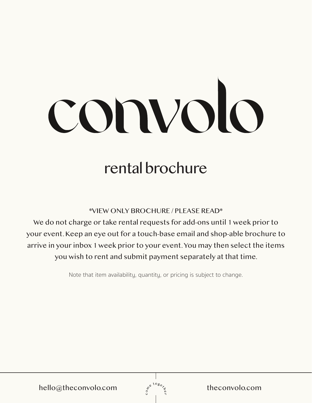# convolo

# rental brochure

\*VIEW ONLY BROCHURE / PLEASE READ\*

We do not charge or take rental requests for add-ons until 1 week prior to your event. Keep an eye out for a touch-base email and shop-able brochure to arrive in your inbox 1 week prior to your event. You may then select the items you wish to rent and submit payment separately at that time.

Note that item availability, quantity, or pricing is subject to change.

hello@theconvolo.com  $\int_{s}^{s^{t \log_{e}}}/s$  theconvolo.com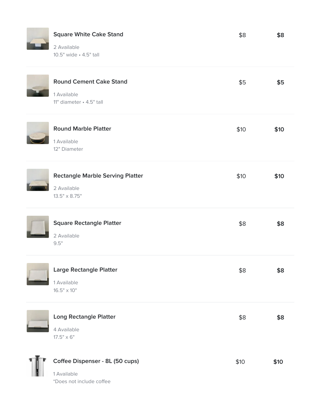### Square White Cake Stand General Assessment Case Stand State Stand State Stand State Stand State Stand State Stand

2 Available 10.5" wide • 4.5" tall

| <b>Round Cement Cake Stand</b><br>1 Available<br>11" diameter · 4.5" tall      | \$5  | \$5  |
|--------------------------------------------------------------------------------|------|------|
| <b>Round Marble Platter</b><br>1 Available<br>12" Diameter                     | \$10 | \$10 |
| <b>Rectangle Marble Serving Platter</b><br>2 Available<br>$13.5" \times 8.75"$ | \$10 | \$10 |
| <b>Square Rectangle Platter</b><br>2 Available<br>9.5"                         | \$8  | \$8  |
| <b>Large Rectangle Platter</b><br>1 Available<br>$16.5" \times 10"$            | \$8  | \$8  |
| <b>Long Rectangle Platter</b><br>4 Available<br>$17.5" \times 6"$              | \$8  | \$8  |
| Coffee Dispenser - 8L (50 cups)<br>1 Available<br>*Does not include coffee     | \$10 | \$10 |

\$8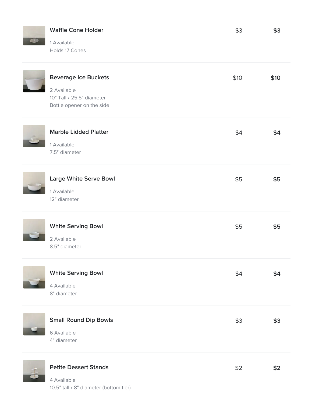### Waffle Cone Holder **Samuel Cone Holder** Samuel And Samuel And Samuel And Samuel And Samuel And Samuel And Samuel And Samuel And Samuel And Samuel And Samuel And Samuel And Samuel And Samuel And Samuel And Samuel And Samuel

1 Available Holds 17 Cones

| <b>Beverage Ice Buckets</b><br>2 Available<br>10" Tall · 25.5" diameter<br>Bottle opener on the side | \$10 | \$10 |
|------------------------------------------------------------------------------------------------------|------|------|
| <b>Marble Lidded Platter</b><br>1 Available<br>7.5" diameter                                         | \$4  | \$4  |
| <b>Large White Serve Bowl</b><br>1 Available<br>12" diameter                                         | \$5  | \$5  |
| <b>White Serving Bowl</b><br>2 Available<br>8.5" diameter                                            | \$5  | \$5  |
| <b>White Serving Bowl</b><br>4 Available<br>8" diameter                                              | \$4  | \$4  |
| <b>Small Round Dip Bowls</b><br>6 Available<br>4" diameter                                           | \$3  | \$3  |
| <b>Petite Dessert Stands</b>                                                                         | \$2  | \$2  |

\$3

4 Available 10.5" tall • 8" diameter (bottom tier)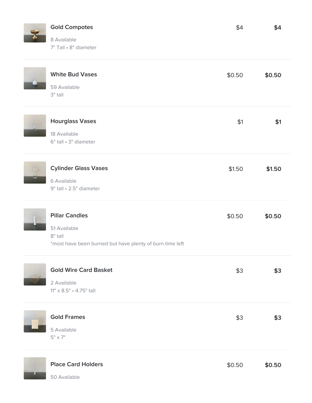**Contract Contract** 

## Gold Compotes \$4 \$4

8 Available 7" Tall • 8" diameter

|                | <b>White Bud Vases</b><br>59 Available<br>$3"$ tall                                                          | \$0.50 | \$0.50 |
|----------------|--------------------------------------------------------------------------------------------------------------|--------|--------|
|                | <b>Hourglass Vases</b><br>18 Available<br>6" tall · 3" diameter                                              | \$1    | \$1    |
| $\eta\pi$<br>U | <b>Cylinder Glass Vases</b><br>6 Available<br>9" tall · 2.5" diameter                                        | \$1.50 | \$1.50 |
|                | <b>Pillar Candles</b><br>51 Available<br>8" tall<br>*most have been burned but have plenty of burn time left | \$0.50 | \$0.50 |
|                | <b>Gold Wire Card Basket</b><br>2 Available<br>11" x 8.5" · 4.75" tall                                       | \$3    | \$3    |
|                | <b>Gold Frames</b><br>5 Available<br>$5" \times 7"$                                                          | \$3    | \$3    |
|                | <b>Place Card Holders</b>                                                                                    | \$0.50 | \$0.50 |

\$4

50 Available